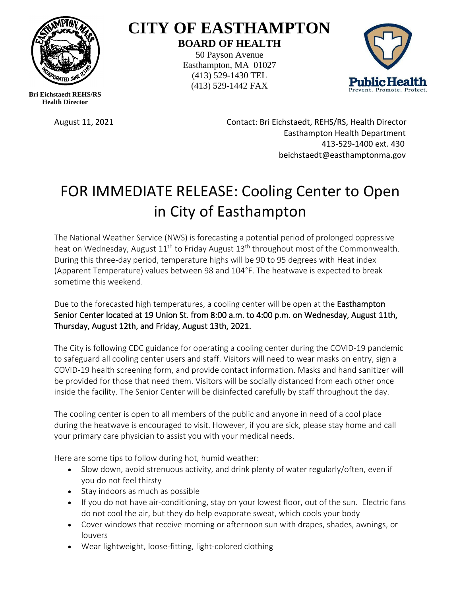

## **CITY OF EASTHAMPTON BOARD OF HEALTH**

50 Payson Avenue Easthampton, MA 01027 (413) 529-1430 TEL (413) 529-1442 FAX



**Bri Eichstaedt REHS/RS Health Director**

August 11, 2021 Contact: Bri Eichstaedt, REHS/RS, Health Director Easthampton Health Department 413-529-1400 ext. 430 beichstaedt@easthamptonma.gov

## FOR IMMEDIATE RELEASE: Cooling Center to Open in City of Easthampton

The National Weather Service (NWS) is forecasting a potential period of prolonged oppressive heat on Wednesday, August 11<sup>th</sup> to Friday August 13<sup>th</sup> throughout most of the Commonwealth. During this three-day period, temperature highs will be 90 to 95 degrees with Heat index (Apparent Temperature) values between 98 and 104°F. The heatwave is expected to break sometime this weekend.

Due to the forecasted high temperatures, a cooling center will be open at the **Easthampton** Senior Center located at 19 Union St. from 8:00 a.m. to 4:00 p.m. on Wednesday, August 11th, Thursday, August 12th, and Friday, August 13th, 2021.

The City is following CDC guidance for operating a cooling center during the COVID-19 pandemic to safeguard all cooling center users and staff. Visitors will need to wear masks on entry, sign a COVID-19 health screening form, and provide contact information. Masks and hand sanitizer will be provided for those that need them. Visitors will be socially distanced from each other once inside the facility. The Senior Center will be disinfected carefully by staff throughout the day.

The cooling center is open to all members of the public and anyone in need of a cool place during the heatwave is encouraged to visit. However, if you are sick, please stay home and call your primary care physician to assist you with your medical needs.

Here are some tips to follow during hot, humid weather:

- Slow down, avoid strenuous activity, and drink plenty of water regularly/often, even if you do not feel thirsty
- Stay indoors as much as possible
- If you do not have air-conditioning, stay on your lowest floor, out of the sun. Electric fans do not cool the air, but they do help evaporate sweat, which cools your body
- Cover windows that receive morning or afternoon sun with drapes, shades, awnings, or louvers
- Wear lightweight, loose-fitting, light-colored clothing